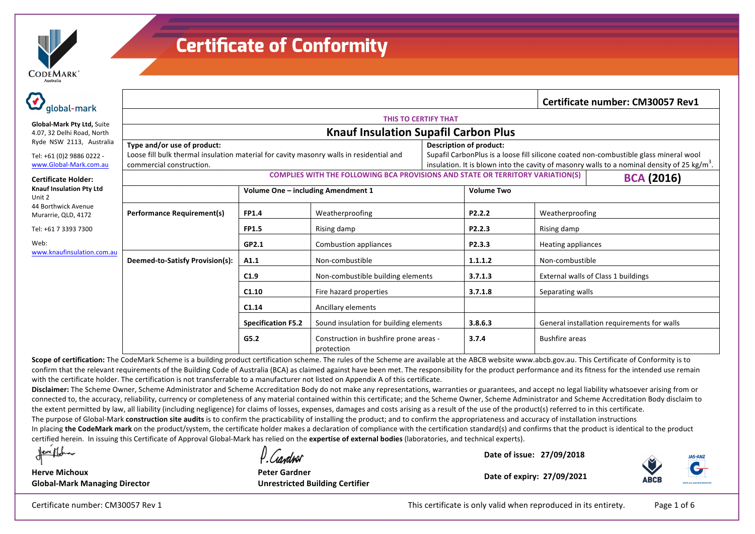

| global-mark                                                             |                                                                                                                     |                                                                              |                                                      |                   |                                                                                                                                                                                                  |                       | Certificate number: CM30057 Rev1            |  |
|-------------------------------------------------------------------------|---------------------------------------------------------------------------------------------------------------------|------------------------------------------------------------------------------|------------------------------------------------------|-------------------|--------------------------------------------------------------------------------------------------------------------------------------------------------------------------------------------------|-----------------------|---------------------------------------------|--|
|                                                                         | <b>THIS TO CERTIFY THAT</b>                                                                                         |                                                                              |                                                      |                   |                                                                                                                                                                                                  |                       |                                             |  |
| Global-Mark Pty Ltd, Suite<br>4.07, 32 Delhi Road, North                | <b>Knauf Insulation Supafil Carbon Plus</b>                                                                         |                                                                              |                                                      |                   |                                                                                                                                                                                                  |                       |                                             |  |
| Ryde NSW 2113, Australia                                                | Type and/or use of product:<br><b>Description of product:</b>                                                       |                                                                              |                                                      |                   |                                                                                                                                                                                                  |                       |                                             |  |
| Tel: +61 (0)2 9886 0222 -<br>www.Global-Mark.com.au                     | Loose fill bulk thermal insulation material for cavity masonry walls in residential and<br>commercial construction. |                                                                              |                                                      |                   | Supafil CarbonPlus is a loose fill silicone coated non-combustible glass mineral wool<br>insulation. It is blown into the cavity of masonry walls to a nominal density of 25 kg/m <sup>3</sup> . |                       |                                             |  |
| <b>Certificate Holder:</b><br><b>Knauf Insulation Pty Ltd</b><br>Unit 2 | <b>COMPLIES WITH THE FOLLOWING BCA PROVISIONS AND STATE OR TERRITORY VARIATION(S)</b><br><b>BCA (2016)</b>          |                                                                              |                                                      |                   |                                                                                                                                                                                                  |                       |                                             |  |
|                                                                         |                                                                                                                     | Volume One - including Amendment 1                                           |                                                      | <b>Volume Two</b> |                                                                                                                                                                                                  |                       |                                             |  |
| 44 Borthwick Avenue<br>Murarrie, QLD, 4172                              | <b>Performance Requirement(s)</b>                                                                                   | <b>FP1.4</b>                                                                 | Weatherproofing<br>P <sub>2.2.2</sub>                |                   | Weatherproofing                                                                                                                                                                                  |                       |                                             |  |
| Tel: +61 7 3393 7300                                                    |                                                                                                                     | <b>FP1.5</b>                                                                 | P2.2.3<br>Rising damp                                |                   |                                                                                                                                                                                                  | Rising damp           |                                             |  |
| Web:                                                                    |                                                                                                                     | GP2.1                                                                        | Combustion appliances                                |                   | P2.3.3                                                                                                                                                                                           | Heating appliances    |                                             |  |
| www.knaufinsulation.com.au                                              | Deemed-to-Satisfy Provision(s):<br>A1.1                                                                             |                                                                              | Non-combustible                                      |                   | 1.1.1.2                                                                                                                                                                                          | Non-combustible       |                                             |  |
|                                                                         |                                                                                                                     | C1.9<br>Non-combustible building elements<br>C1.10<br>Fire hazard properties |                                                      |                   | 3.7.1.3<br>External walls of Class 1 buildings                                                                                                                                                   |                       |                                             |  |
|                                                                         |                                                                                                                     |                                                                              |                                                      |                   | 3.7.1.8                                                                                                                                                                                          | Separating walls      |                                             |  |
|                                                                         |                                                                                                                     | C1.14                                                                        | Ancillary elements                                   |                   |                                                                                                                                                                                                  |                       |                                             |  |
|                                                                         |                                                                                                                     | <b>Specification F5.2</b>                                                    | Sound insulation for building elements               |                   | 3.8.6.3                                                                                                                                                                                          |                       | General installation requirements for walls |  |
|                                                                         |                                                                                                                     | G5.2                                                                         | Construction in bushfire prone areas -<br>protection |                   | 3.7.4                                                                                                                                                                                            | <b>Bushfire areas</b> |                                             |  |

Scope of certification: The CodeMark Scheme is a building product certification scheme. The rules of the Scheme are available at the ABCB website www.abcb.gov.au. This Certificate of Conformity is to confirm that the relevant requirements of the Building Code of Australia (BCA) as claimed against have been met. The responsibility for the product performance and its fitness for the intended use remain with the certificate holder. The certification is not transferrable to a manufacturer not listed on Appendix A of this certificate.

Disclaimer: The Scheme Owner, Scheme Administrator and Scheme Accreditation Body do not make any representations, warranties or guarantees, and accept no legal liability whatsoever arising from or connected to, the accuracy, reliability, currency or completeness of any material contained within this certificate; and the Scheme Owner, Scheme Administrator and Scheme Accreditation Body disclaim to the extent permitted by law, all liability (including negligence) for claims of losses, expenses, damages and costs arising as a result of the use of the product(s) referred to in this certificate.

The purpose of Global-Mark **construction site audits** is to confirm the practicability of installing the product; and to confirm the appropriateness and accuracy of installation instructions

In placing the CodeMark mark on the product/system, the certificate holder makes a declaration of compliance with the certification standard(s) and confirms that the product is identical to the product certified herein. In issuing this Certificate of Approval Global-Mark has relied on the expertise of external bodies (laboratories, and technical experts).

Conduel

Date of issue: 27/09/2018



**Herve Michoux Global-Mark Managing Director**

**Peter Gardner Unrestricted Building Certifier**

**Date of expiry: 27/09/2021**

Certificate number: CM30057 Rev 1 This certificate is only valid when reproduced in its entirety. Page 1 of 6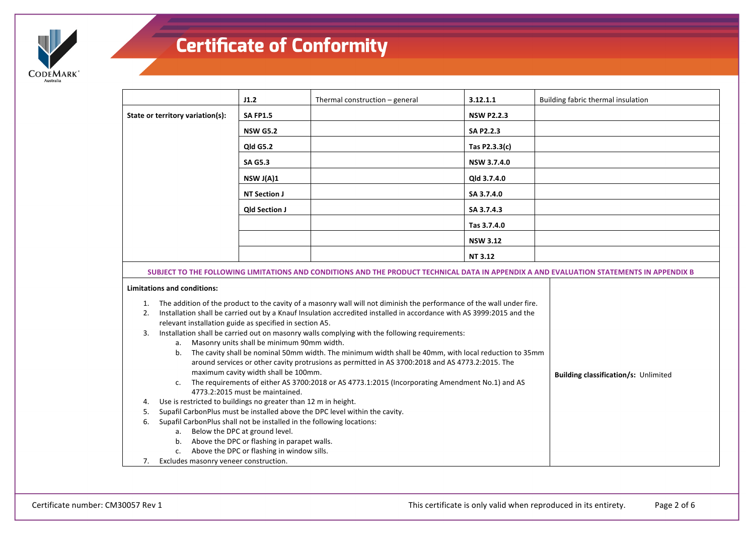

|                                                                                                                                          | J1.2                                                                                         | Thermal construction - general                                                                                                                                                                                                                                                                             | 3.12.1.1           | Building fabric thermal insulation |
|------------------------------------------------------------------------------------------------------------------------------------------|----------------------------------------------------------------------------------------------|------------------------------------------------------------------------------------------------------------------------------------------------------------------------------------------------------------------------------------------------------------------------------------------------------------|--------------------|------------------------------------|
| State or territory variation(s):                                                                                                         | <b>SA FP1.5</b>                                                                              |                                                                                                                                                                                                                                                                                                            | <b>NSW P2.2.3</b>  |                                    |
|                                                                                                                                          | <b>NSW G5.2</b>                                                                              |                                                                                                                                                                                                                                                                                                            | SA P2.2.3          |                                    |
|                                                                                                                                          | <b>Qld G5.2</b>                                                                              |                                                                                                                                                                                                                                                                                                            | Tas P2.3.3(c)      |                                    |
|                                                                                                                                          | <b>SA G5.3</b>                                                                               |                                                                                                                                                                                                                                                                                                            | <b>NSW 3.7.4.0</b> |                                    |
|                                                                                                                                          | NSW J(A)1                                                                                    |                                                                                                                                                                                                                                                                                                            | Old 3.7.4.0        |                                    |
|                                                                                                                                          | <b>NT Section J</b>                                                                          |                                                                                                                                                                                                                                                                                                            | SA 3.7.4.0         |                                    |
|                                                                                                                                          | Qld Section J                                                                                |                                                                                                                                                                                                                                                                                                            | SA 3.7.4.3         |                                    |
|                                                                                                                                          |                                                                                              |                                                                                                                                                                                                                                                                                                            | Tas 3.7.4.0        |                                    |
|                                                                                                                                          |                                                                                              |                                                                                                                                                                                                                                                                                                            | <b>NSW 3.12</b>    |                                    |
|                                                                                                                                          |                                                                                              |                                                                                                                                                                                                                                                                                                            | <b>NT 3.12</b>     |                                    |
| 1.<br>2.                                                                                                                                 |                                                                                              | The addition of the product to the cavity of a masonry wall will not diminish the performance of the wall under fire.<br>Installation shall be carried out by a Knauf Insulation accredited installed in accordance with AS 3999:2015 and the                                                              |                    |                                    |
| relevant installation guide as specified in section A5.                                                                                  |                                                                                              |                                                                                                                                                                                                                                                                                                            |                    |                                    |
| 3.<br>a.<br>b.                                                                                                                           | Masonry units shall be minimum 90mm width.<br>maximum cavity width shall be 100mm.           | Installation shall be carried out on masonry walls complying with the following requirements:<br>The cavity shall be nominal 50mm width. The minimum width shall be 40mm, with local reduction to 35mm<br>around services or other cavity protrusions as permitted in AS 3700:2018 and AS 4773.2:2015. The |                    |                                    |
| The requirements of either AS 3700:2018 or AS 4773.1:2015 (Incorporating Amendment No.1) and AS<br>c.<br>4773.2:2015 must be maintained. | Building classification/s: Unlimited                                                         |                                                                                                                                                                                                                                                                                                            |                    |                                    |
| Use is restricted to buildings no greater than 12 m in height.<br>4.                                                                     |                                                                                              |                                                                                                                                                                                                                                                                                                            |                    |                                    |
| 5.                                                                                                                                       |                                                                                              | Supafil CarbonPlus must be installed above the DPC level within the cavity.                                                                                                                                                                                                                                |                    |                                    |
| Supafil CarbonPlus shall not be installed in the following locations:<br>6.                                                              |                                                                                              |                                                                                                                                                                                                                                                                                                            |                    |                                    |
| a.                                                                                                                                       | Below the DPC at ground level.                                                               |                                                                                                                                                                                                                                                                                                            |                    |                                    |
|                                                                                                                                          | b. Above the DPC or flashing in parapet walls.<br>Above the DPC or flashing in window sills. |                                                                                                                                                                                                                                                                                                            |                    |                                    |
| $\mathsf{C}$ .                                                                                                                           |                                                                                              |                                                                                                                                                                                                                                                                                                            |                    |                                    |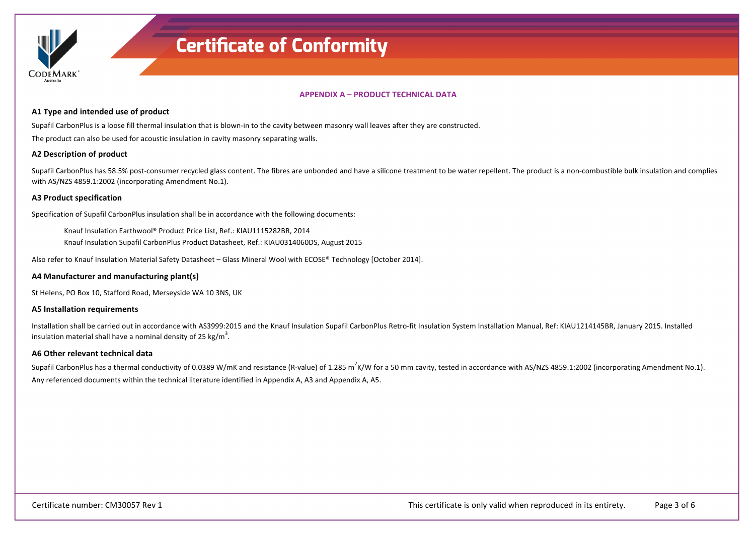

**APPENDIX A – PRODUCT TECHNICAL DATA**

#### **A1 Type and intended use of product**

Supafil CarbonPlus is a loose fill thermal insulation that is blown-in to the cavity between masonry wall leaves after they are constructed.

The product can also be used for acoustic insulation in cavity masonry separating walls.

#### **A2** Description of product

Supafil CarbonPlus has 58.5% post-consumer recycled glass content. The fibres are unbonded and have a silicone treatment to be water repellent. The product is a non-combustible bulk insulation and complies with AS/NZS 4859.1:2002 (incorporating Amendment No.1).

#### **A3 Product specification**

Specification of Supafil CarbonPlus insulation shall be in accordance with the following documents:

Knauf Insulation Earthwool® Product Price List, Ref.: KIAU1115282BR, 2014 Knauf Insulation Supafil CarbonPlus Product Datasheet, Ref.: KIAU0314060DS, August 2015

Also refer to Knauf Insulation Material Safety Datasheet – Glass Mineral Wool with ECOSE® Technology [October 2014].

#### **A4 Manufacturer and manufacturing plant(s)**

St Helens, PO Box 10, Stafford Road, Merseyside WA 10 3NS, UK

#### **A5** Installation requirements

Installation shall be carried out in accordance with AS3999:2015 and the Knauf Insulation Supafil CarbonPlus Retro-fit Insulation System Installation Manual, Ref: KIAU1214145BR, January 2015. Installed insulation material shall have a nominal density of 25 kg/m<sup>3</sup>.

#### **A6 Other relevant technical data**

Supafil CarbonPlus has a thermal conductivity of 0.0389 W/mK and resistance (R-value) of 1.285 m<sup>2</sup>K/W for a 50 mm cavity, tested in accordance with AS/NZS 4859.1:2002 (incorporating Amendment No.1). Any referenced documents within the technical literature identified in Appendix A, A3 and Appendix A, A5.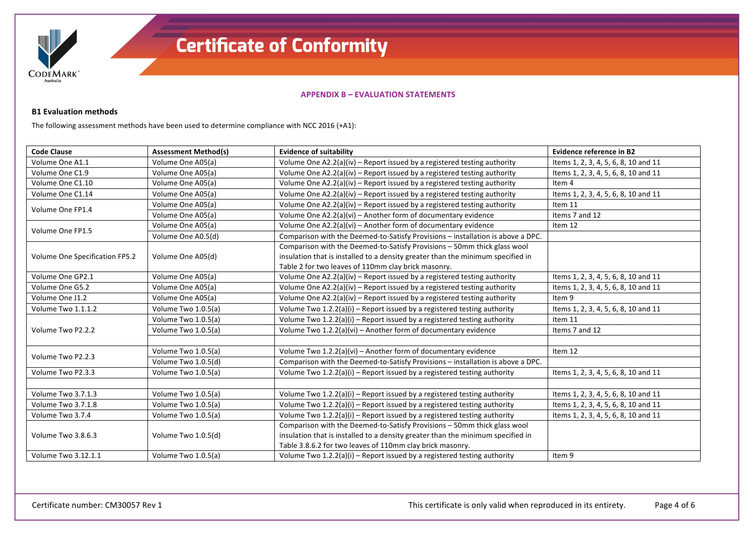

**APPENDIX B – EVALUATION STATEMENTS**

#### **B1 Evaluation methods**

The following assessment methods have been used to determine compliance with NCC 2016 (+A1):

| <b>Code Clause</b>             | <b>Assessment Method(s)</b> | <b>Evidence of suitability</b>                                                  | Evidence reference in B2             |
|--------------------------------|-----------------------------|---------------------------------------------------------------------------------|--------------------------------------|
| Volume One A1.1                | Volume One A05(a)           | Volume One A2.2(a)(iv) - Report issued by a registered testing authority        | Items 1, 2, 3, 4, 5, 6, 8, 10 and 11 |
| Volume One C1.9                | Volume One A05(a)           | Volume One $A2.2(a)(iv)$ – Report issued by a registered testing authority      | Items 1, 2, 3, 4, 5, 6, 8, 10 and 11 |
| Volume One C1.10               | Volume One A05(a)           | Volume One $A2.2(a)(iv)$ – Report issued by a registered testing authority      | Item 4                               |
| Volume One C1.14               | Volume One A05(a)           | Volume One $A2.2(a)(iv)$ – Report issued by a registered testing authority      | Items 1, 2, 3, 4, 5, 6, 8, 10 and 11 |
| Volume One FP1.4               | Volume One A05(a)           | Volume One $A2.2(a)(iv)$ – Report issued by a registered testing authority      | Item 11                              |
|                                | Volume One A05(a)           | Volume One A2.2(a)(vi) - Another form of documentary evidence                   | Items 7 and 12                       |
| Volume One FP1.5               | Volume One A05(a)           | Volume One A2.2(a)(vi) - Another form of documentary evidence                   | Item 12                              |
|                                | Volume One A0.5(d)          | Comparison with the Deemed-to-Satisfy Provisions - installation is above a DPC. |                                      |
|                                |                             | Comparison with the Deemed-to-Satisfy Provisions - 50mm thick glass wool        |                                      |
| Volume One Specification FP5.2 | Volume One A05(d)           | insulation that is installed to a density greater than the minimum specified in |                                      |
|                                |                             | Table 2 for two leaves of 110mm clay brick masonry.                             |                                      |
| Volume One GP2.1               | Volume One A05(a)           | Volume One $A2.2(a)(iv)$ – Report issued by a registered testing authority      | Items 1, 2, 3, 4, 5, 6, 8, 10 and 11 |
| Volume One G5.2                | Volume One A05(a)           | Volume One A2.2(a)(iv) - Report issued by a registered testing authority        | Items 1, 2, 3, 4, 5, 6, 8, 10 and 11 |
| Volume One J1.2                | Volume One A05(a)           | Volume One $A2.2(a)(iv)$ – Report issued by a registered testing authority      | Item 9                               |
| Volume Two 1.1.1.2             | Volume Two 1.0.5(a)         | Volume Two $1.2.2(a)(i)$ – Report issued by a registered testing authority      | Items 1, 2, 3, 4, 5, 6, 8, 10 and 11 |
|                                | Volume Two 1.0.5(a)         | Volume Two $1.2.2(a)(i)$ – Report issued by a registered testing authority      | Item 11                              |
| Volume Two P2.2.2              | Volume Two 1.0.5(a)         | Volume Two 1.2.2(a)(vi) - Another form of documentary evidence                  | Items 7 and 12                       |
|                                |                             |                                                                                 |                                      |
| Volume Two P2.2.3              | Volume Two 1.0.5(a)         | Volume Two 1.2.2(a)(vi) - Another form of documentary evidence                  | Item 12                              |
|                                | Volume Two 1.0.5(d)         | Comparison with the Deemed-to-Satisfy Provisions - installation is above a DPC. |                                      |
| Volume Two P2.3.3              | Volume Two 1.0.5(a)         | Volume Two $1.2.2(a)(i)$ – Report issued by a registered testing authority      | Items 1, 2, 3, 4, 5, 6, 8, 10 and 11 |
|                                |                             |                                                                                 |                                      |
| Volume Two 3.7.1.3             | Volume Two 1.0.5(a)         | Volume Two 1.2.2(a)(i) - Report issued by a registered testing authority        | Items 1, 2, 3, 4, 5, 6, 8, 10 and 11 |
| Volume Two 3.7.1.8             | Volume Two 1.0.5(a)         | Volume Two $1.2.2(a)(i)$ – Report issued by a registered testing authority      | Items 1, 2, 3, 4, 5, 6, 8, 10 and 11 |
| Volume Two 3.7.4               | Volume Two 1.0.5(a)         | Volume Two $1.2.2(a)(i)$ – Report issued by a registered testing authority      | Items 1, 2, 3, 4, 5, 6, 8, 10 and 11 |
|                                |                             | Comparison with the Deemed-to-Satisfy Provisions - 50mm thick glass wool        |                                      |
| Volume Two 3.8.6.3             | Volume Two 1.0.5(d)         | insulation that is installed to a density greater than the minimum specified in |                                      |
|                                |                             | Table 3.8.6.2 for two leaves of 110mm clay brick masonry.                       |                                      |
| Volume Two 3.12.1.1            | Volume Two 1.0.5(a)         | Volume Two $1.2.2(a)(i)$ – Report issued by a registered testing authority      | Item 9                               |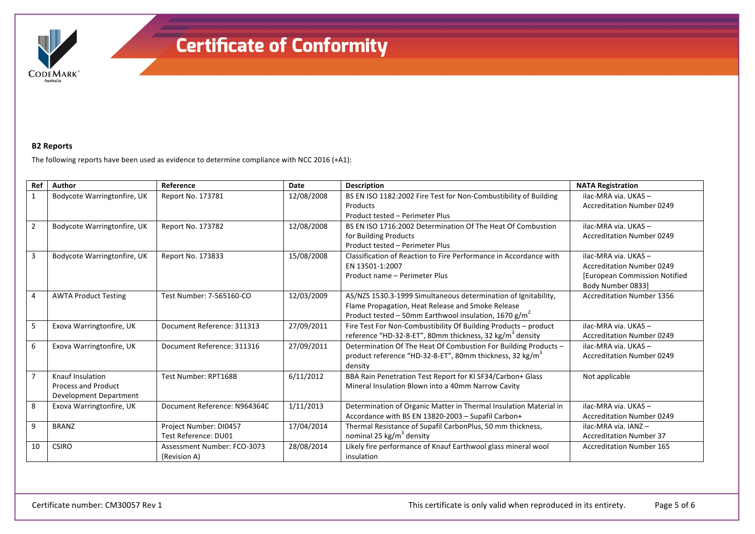

#### **B2 Reports**

The following reports have been used as evidence to determine compliance with NCC 2016 (+A1):

| Ref            | Author                      | Reference                    | Date       | <b>Description</b>                                                   | <b>NATA Registration</b>         |
|----------------|-----------------------------|------------------------------|------------|----------------------------------------------------------------------|----------------------------------|
| $\mathbf{1}$   | Bodycote Warringtonfire, UK | Report No. 173781            | 12/08/2008 | BS EN ISO 1182:2002 Fire Test for Non-Combustibility of Building     | ilac-MRA via. UKAS-              |
|                |                             |                              |            | Products                                                             | <b>Accreditation Number 0249</b> |
|                |                             |                              |            | Product tested - Perimeter Plus                                      |                                  |
| $\overline{2}$ | Bodycote Warringtonfire, UK | Report No. 173782            | 12/08/2008 | BS EN ISO 1716:2002 Determination Of The Heat Of Combustion          | ilac-MRA via. UKAS -             |
|                |                             |                              |            | for Building Products                                                | <b>Accreditation Number 0249</b> |
|                |                             |                              |            | Product tested - Perimeter Plus                                      |                                  |
| 3              | Bodycote Warringtonfire, UK | Report No. 173833            | 15/08/2008 | Classification of Reaction to Fire Performance in Accordance with    | ilac-MRA via. UKAS -             |
|                |                             |                              |            | EN 13501-1:2007                                                      | <b>Accreditation Number 0249</b> |
|                |                             |                              |            | Product name - Perimeter Plus                                        | [European Commission Notified    |
|                |                             |                              |            |                                                                      | Body Number 0833]                |
| 4              | <b>AWTA Product Testing</b> | Test Number: 7-565160-CO     | 12/03/2009 | AS/NZS 1530.3-1999 Simultaneous determination of Ignitability,       | <b>Accreditation Number 1356</b> |
|                |                             |                              |            | Flame Propagation, Heat Release and Smoke Release                    |                                  |
|                |                             |                              |            | Product tested – 50mm Earthwool insulation, 1670 $g/m^2$             |                                  |
| 5              | Exova Warringtonfire, UK    | Document Reference: 311313   | 27/09/2011 | Fire Test For Non-Combustibility Of Building Products - product      | ilac-MRA via. UKAS -             |
|                |                             |                              |            | reference "HD-32-8-ET", 80mm thickness, 32 kg/m <sup>3</sup> density | <b>Accreditation Number 0249</b> |
| 6              | Exova Warringtonfire, UK    | Document Reference: 311316   | 27/09/2011 | Determination Of The Heat Of Combustion For Building Products -      | ilac-MRA via. UKAS-              |
|                |                             |                              |            | product reference "HD-32-8-ET", 80mm thickness, 32 kg/m <sup>3</sup> | <b>Accreditation Number 0249</b> |
|                |                             |                              |            | density                                                              |                                  |
| $\overline{7}$ | Knauf Insulation            | Test Number: RPT168B         | 6/11/2012  | BBA Rain Penetration Test Report for KI SF34/Carbon+ Glass           | Not applicable                   |
|                | <b>Process and Product</b>  |                              |            | Mineral Insulation Blown into a 40mm Narrow Cavity                   |                                  |
|                | Development Department      |                              |            |                                                                      |                                  |
| 8              | Exova Warringtonfire, UK    | Document Reference: N964364C | 1/11/2013  | Determination of Organic Matter in Thermal Insulation Material in    | ilac-MRA via. UKAS -             |
|                |                             |                              |            | Accordance with BS EN 13820-2003 - Supafil Carbon+                   | <b>Accreditation Number 0249</b> |
| 9              | <b>BRANZ</b>                | Project Number: DI0457       | 17/04/2014 | Thermal Resistance of Supafil CarbonPlus, 50 mm thickness,           | ilac-MRA via. IANZ-              |
|                |                             | Test Reference: DU01         |            | nominal 25 kg/m <sup>3</sup> density                                 | <b>Accreditation Number 37</b>   |
| 10             | <b>CSIRO</b>                | Assessment Number: FCO-3073  | 28/08/2014 | Likely fire performance of Knauf Earthwool glass mineral wool        | <b>Accreditation Number 165</b>  |
|                |                             | (Revision A)                 |            | insulation                                                           |                                  |